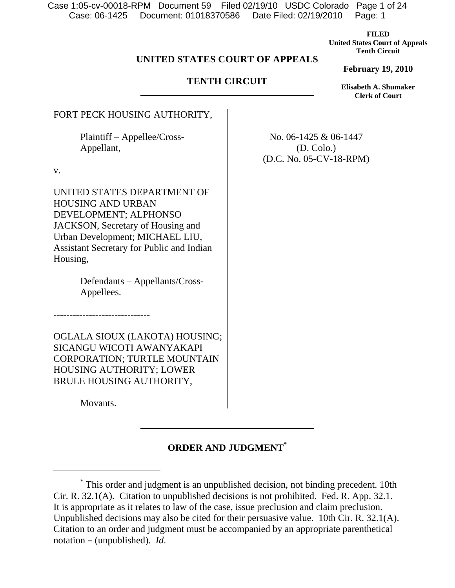Case: 06-1425 Document: 01018370586 Date Filed: 02/19/2010 Page: 1 Case 1:05-cv-00018-RPM Document 59 Filed 02/19/10 USDC Colorado Page 1 of 24

> **FILED United States Court of Appeals Tenth Circuit**

## **UNITED STATES COURT OF APPEALS**

### **TENTH CIRCUIT**

**February 19, 2010 Elisabeth A. Shumaker** 

**Clerk of Court**

FORT PECK HOUSING AUTHORITY,

 Plaintiff – Appellee/Cross- Appellant,

v.

UNITED STATES DEPARTMENT OF HOUSING AND URBAN DEVELOPMENT; ALPHONSO JACKSON, Secretary of Housing and Urban Development; MICHAEL LIU, Assistant Secretary for Public and Indian Housing,

> Defendants – Appellants/Cross- Appellees.

OGLALA SIOUX (LAKOTA) HOUSING; SICANGU WICOTI AWANYAKAPI CORPORATION; TURTLE MOUNTAIN HOUSING AUTHORITY; LOWER BRULE HOUSING AUTHORITY,

Movants.

 $\overline{a}$ 

------------------------------

# **ORDER AND JUDGMENT\***

No. 06-1425 & 06-1447 (D. Colo.) (D.C. No. 05-CV-18-RPM)

<sup>\*</sup> This order and judgment is an unpublished decision, not binding precedent. 10th Cir. R. 32.1(A). Citation to unpublished decisions is not prohibited. Fed. R. App. 32.1. It is appropriate as it relates to law of the case, issue preclusion and claim preclusion. Unpublished decisions may also be cited for their persuasive value. 10th Cir. R. 32.1(A). Citation to an order and judgment must be accompanied by an appropriate parenthetical notation – (unpublished). *Id*.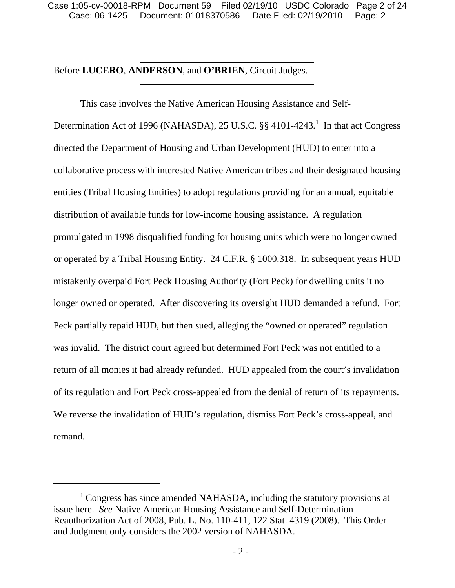## Before **LUCERO**, **ANDERSON**, and **O'BRIEN**, Circuit Judges.

This case involves the Native American Housing Assistance and Self-Determination Act of 1996 (NAHASDA), 25 U.S.C. §§ 4101-4243.<sup>1</sup> In that act Congress directed the Department of Housing and Urban Development (HUD) to enter into a collaborative process with interested Native American tribes and their designated housing entities (Tribal Housing Entities) to adopt regulations providing for an annual, equitable distribution of available funds for low-income housing assistance. A regulation promulgated in 1998 disqualified funding for housing units which were no longer owned or operated by a Tribal Housing Entity. 24 C.F.R. § 1000.318. In subsequent years HUD mistakenly overpaid Fort Peck Housing Authority (Fort Peck) for dwelling units it no longer owned or operated. After discovering its oversight HUD demanded a refund. Fort Peck partially repaid HUD, but then sued, alleging the "owned or operated" regulation was invalid. The district court agreed but determined Fort Peck was not entitled to a return of all monies it had already refunded. HUD appealed from the court's invalidation of its regulation and Fort Peck cross-appealed from the denial of return of its repayments. We reverse the invalidation of HUD's regulation, dismiss Fort Peck's cross-appeal, and remand.

 $\overline{a}$ 

<sup>&</sup>lt;sup>1</sup> Congress has since amended NAHASDA, including the statutory provisions at issue here. *See* Native American Housing Assistance and Self-Determination Reauthorization Act of 2008, Pub. L. No. 110-411, 122 Stat. 4319 (2008). This Order and Judgment only considers the 2002 version of NAHASDA.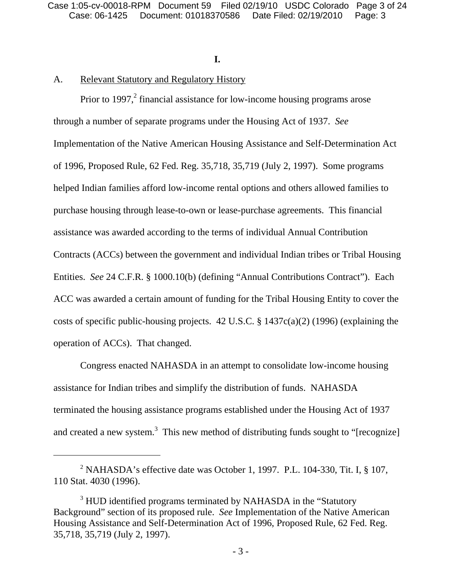### **I.**

## A. Relevant Statutory and Regulatory History

Prior to 1997, $^2$  financial assistance for low-income housing programs arose through a number of separate programs under the Housing Act of 1937. *See*  Implementation of the Native American Housing Assistance and Self-Determination Act of 1996, Proposed Rule, 62 Fed. Reg. 35,718, 35,719 (July 2, 1997). Some programs helped Indian families afford low-income rental options and others allowed families to purchase housing through lease-to-own or lease-purchase agreements. This financial assistance was awarded according to the terms of individual Annual Contribution Contracts (ACCs) between the government and individual Indian tribes or Tribal Housing Entities. *See* 24 C.F.R. § 1000.10(b) (defining "Annual Contributions Contract"). Each ACC was awarded a certain amount of funding for the Tribal Housing Entity to cover the costs of specific public-housing projects. 42 U.S.C. § 1437c(a)(2) (1996) (explaining the operation of ACCs). That changed.

Congress enacted NAHASDA in an attempt to consolidate low-income housing assistance for Indian tribes and simplify the distribution of funds. NAHASDA terminated the housing assistance programs established under the Housing Act of 1937 and created a new system.<sup>3</sup> This new method of distributing funds sought to "[recognize]

<sup>&</sup>lt;sup>2</sup> NAHASDA's effective date was October 1, 1997. P.L. 104-330, Tit. I,  $\S$  107, 110 Stat. 4030 (1996).

<sup>&</sup>lt;sup>3</sup> HUD identified programs terminated by NAHASDA in the "Statutory" Background" section of its proposed rule. *See* Implementation of the Native American Housing Assistance and Self-Determination Act of 1996, Proposed Rule, 62 Fed. Reg. 35,718, 35,719 (July 2, 1997).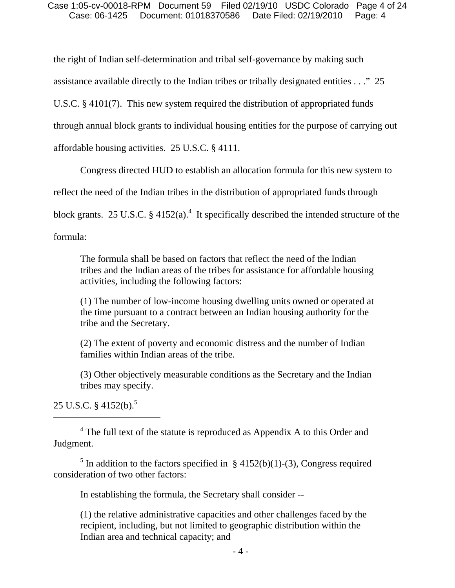#### Case: 06-1425 Document: 01018370586 Date Filed: 02/19/2010 Page: 4 Case 1:05-cv-00018-RPM Document 59 Filed 02/19/10 USDC Colorado Page 4 of 24

the right of Indian self-determination and tribal self-governance by making such assistance available directly to the Indian tribes or tribally designated entities . . ." 25 U.S.C. § 4101(7). This new system required the distribution of appropriated funds through annual block grants to individual housing entities for the purpose of carrying out affordable housing activities. 25 U.S.C. § 4111.

Congress directed HUD to establish an allocation formula for this new system to reflect the need of the Indian tribes in the distribution of appropriated funds through block grants. 25 U.S.C.  $\S$  4152(a).<sup>4</sup> It specifically described the intended structure of the formula:

The formula shall be based on factors that reflect the need of the Indian tribes and the Indian areas of the tribes for assistance for affordable housing activities, including the following factors:

(1) The number of low-income housing dwelling units owned or operated at the time pursuant to a contract between an Indian housing authority for the tribe and the Secretary.

(2) The extent of poverty and economic distress and the number of Indian families within Indian areas of the tribe.

(3) Other objectively measurable conditions as the Secretary and the Indian tribes may specify.

25 U.S.C.  $\frac{1}{2}$  4152(b).<sup>5</sup>

 $\overline{a}$ 

<sup>5</sup> In addition to the factors specified in § 4152(b)(1)-(3), Congress required consideration of two other factors:

In establishing the formula, the Secretary shall consider --

(1) the relative administrative capacities and other challenges faced by the recipient, including, but not limited to geographic distribution within the Indian area and technical capacity; and

<sup>&</sup>lt;sup>4</sup> The full text of the statute is reproduced as Appendix A to this Order and Judgment.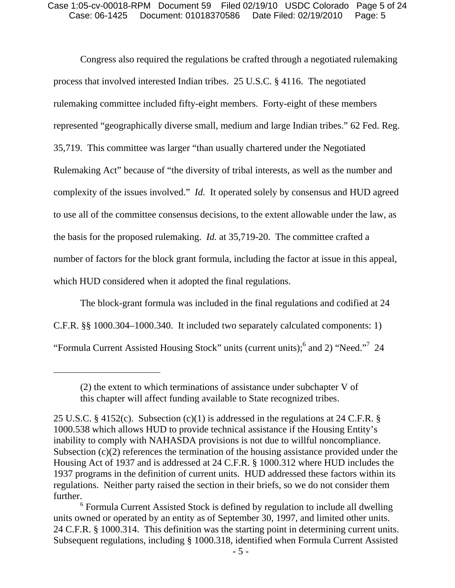Congress also required the regulations be crafted through a negotiated rulemaking process that involved interested Indian tribes. 25 U.S.C. § 4116. The negotiated rulemaking committee included fifty-eight members. Forty-eight of these members represented "geographically diverse small, medium and large Indian tribes." 62 Fed. Reg. 35,719. This committee was larger "than usually chartered under the Negotiated Rulemaking Act" because of "the diversity of tribal interests, as well as the number and complexity of the issues involved." *Id.* It operated solely by consensus and HUD agreed to use all of the committee consensus decisions, to the extent allowable under the law, as the basis for the proposed rulemaking. *Id.* at 35,719-20. The committee crafted a number of factors for the block grant formula, including the factor at issue in this appeal, which HUD considered when it adopted the final regulations.

The block-grant formula was included in the final regulations and codified at 24 C.F.R. §§ 1000.304–1000.340. It included two separately calculated components: 1) "Formula Current Assisted Housing Stock" units (current units);<sup>6</sup> and 2) "Need."<sup>7</sup> 24

<sup>(2)</sup> the extent to which terminations of assistance under subchapter V of this chapter will affect funding available to State recognized tribes.

<sup>25</sup> U.S.C. § 4152(c). Subsection (c)(1) is addressed in the regulations at 24 C.F.R. § 1000.538 which allows HUD to provide technical assistance if the Housing Entity's inability to comply with NAHASDA provisions is not due to willful noncompliance. Subsection (c)(2) references the termination of the housing assistance provided under the Housing Act of 1937 and is addressed at 24 C.F.R. § 1000.312 where HUD includes the 1937 programs in the definition of current units. HUD addressed these factors within its regulations. Neither party raised the section in their briefs, so we do not consider them further.

<sup>&</sup>lt;sup>6</sup> Formula Current Assisted Stock is defined by regulation to include all dwelling units owned or operated by an entity as of September 30, 1997, and limited other units. 24 C.F.R. § 1000.314. This definition was the starting point in determining current units. Subsequent regulations, including § 1000.318, identified when Formula Current Assisted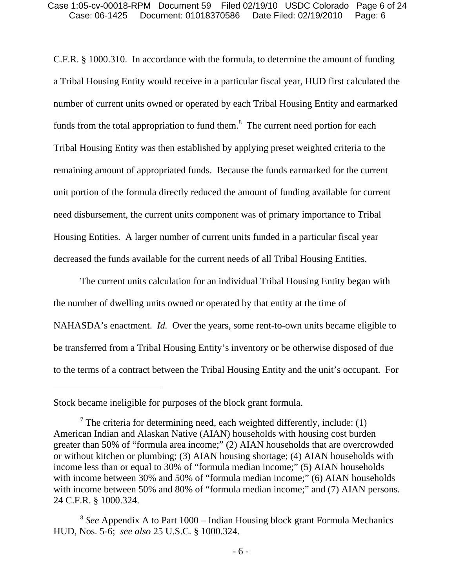C.F.R. § 1000.310. In accordance with the formula, to determine the amount of funding a Tribal Housing Entity would receive in a particular fiscal year, HUD first calculated the number of current units owned or operated by each Tribal Housing Entity and earmarked funds from the total appropriation to fund them. $\delta$  The current need portion for each Tribal Housing Entity was then established by applying preset weighted criteria to the remaining amount of appropriated funds. Because the funds earmarked for the current unit portion of the formula directly reduced the amount of funding available for current need disbursement, the current units component was of primary importance to Tribal Housing Entities. A larger number of current units funded in a particular fiscal year decreased the funds available for the current needs of all Tribal Housing Entities.

The current units calculation for an individual Tribal Housing Entity began with the number of dwelling units owned or operated by that entity at the time of NAHASDA's enactment. *Id.* Over the years, some rent-to-own units became eligible to be transferred from a Tribal Housing Entity's inventory or be otherwise disposed of due to the terms of a contract between the Tribal Housing Entity and the unit's occupant. For

 $\overline{a}$ 

Stock became ineligible for purposes of the block grant formula.

 $7$  The criteria for determining need, each weighted differently, include: (1) American Indian and Alaskan Native (AIAN) households with housing cost burden greater than 50% of "formula area income;" (2) AIAN households that are overcrowded or without kitchen or plumbing; (3) AIAN housing shortage; (4) AIAN households with income less than or equal to 30% of "formula median income;" (5) AIAN households with income between 30% and 50% of "formula median income;" (6) AIAN households with income between 50% and 80% of "formula median income;" and (7) AIAN persons. 24 C.F.R. § 1000.324.

<sup>8</sup> *See* Appendix A to Part 1000 – Indian Housing block grant Formula Mechanics HUD, Nos. 5-6; *see also* 25 U.S.C. § 1000.324.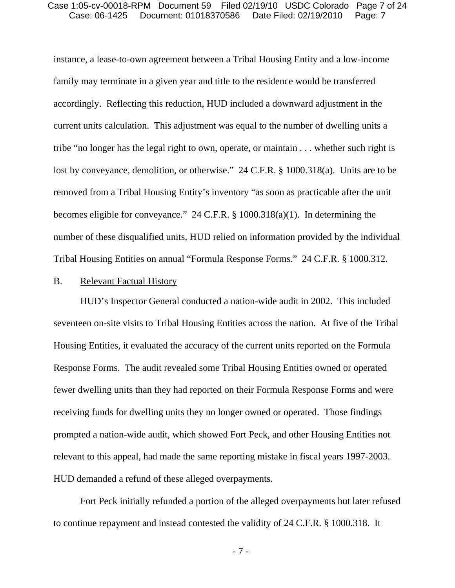#### Case: 06-1425 Document: 01018370586 Date Filed: 02/19/2010 Page: 7 Case 1:05-cv-00018-RPM Document 59 Filed 02/19/10 USDC Colorado Page 7 of 24

instance, a lease-to-own agreement between a Tribal Housing Entity and a low-income family may terminate in a given year and title to the residence would be transferred accordingly. Reflecting this reduction, HUD included a downward adjustment in the current units calculation. This adjustment was equal to the number of dwelling units a tribe "no longer has the legal right to own, operate, or maintain . . . whether such right is lost by conveyance, demolition, or otherwise." 24 C.F.R. § 1000.318(a). Units are to be removed from a Tribal Housing Entity's inventory "as soon as practicable after the unit becomes eligible for conveyance." 24 C.F.R. § 1000.318(a)(1). In determining the number of these disqualified units, HUD relied on information provided by the individual Tribal Housing Entities on annual "Formula Response Forms." 24 C.F.R. § 1000.312.

#### B. Relevant Factual History

HUD's Inspector General conducted a nation-wide audit in 2002. This included seventeen on-site visits to Tribal Housing Entities across the nation. At five of the Tribal Housing Entities, it evaluated the accuracy of the current units reported on the Formula Response Forms. The audit revealed some Tribal Housing Entities owned or operated fewer dwelling units than they had reported on their Formula Response Forms and were receiving funds for dwelling units they no longer owned or operated. Those findings prompted a nation-wide audit, which showed Fort Peck, and other Housing Entities not relevant to this appeal, had made the same reporting mistake in fiscal years 1997-2003. HUD demanded a refund of these alleged overpayments.

Fort Peck initially refunded a portion of the alleged overpayments but later refused to continue repayment and instead contested the validity of 24 C.F.R. § 1000.318. It

- 7 -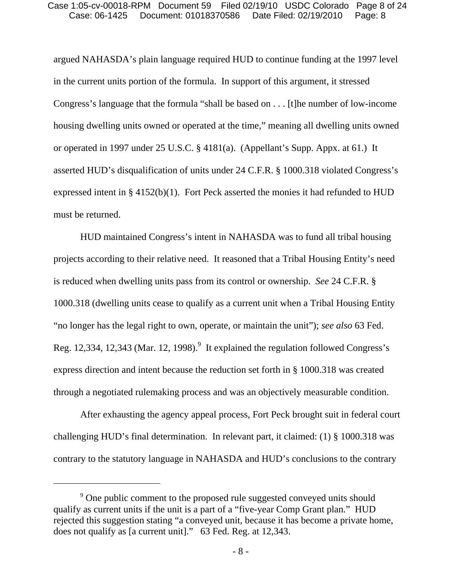argued NAHASDA's plain language required HUD to continue funding at the 1997 level in the current units portion of the formula. In support of this argument, it stressed Congress's language that the formula "shall be based on . . . [t]he number of low-income housing dwelling units owned or operated at the time," meaning all dwelling units owned or operated in 1997 under 25 U.S.C. § 4181(a). (Appellant's Supp. Appx. at 61.) It asserted HUD's disqualification of units under 24 C.F.R. § 1000.318 violated Congress's expressed intent in § 4152(b)(1). Fort Peck asserted the monies it had refunded to HUD must be returned.

HUD maintained Congress's intent in NAHASDA was to fund all tribal housing projects according to their relative need. It reasoned that a Tribal Housing Entity's need is reduced when dwelling units pass from its control or ownership. *See* 24 C.F.R. § 1000.318 (dwelling units cease to qualify as a current unit when a Tribal Housing Entity "no longer has the legal right to own, operate, or maintain the unit"); *see also* 63 Fed. Reg. 12,334, 12,343 (Mar. 12, 1998). $9$  It explained the regulation followed Congress's express direction and intent because the reduction set forth in § 1000.318 was created through a negotiated rulemaking process and was an objectively measurable condition.

After exhausting the agency appeal process, Fort Peck brought suit in federal court challenging HUD's final determination. In relevant part, it claimed: (1) § 1000.318 was contrary to the statutory language in NAHASDA and HUD's conclusions to the contrary

 $\overline{a}$ 

<sup>&</sup>lt;sup>9</sup> One public comment to the proposed rule suggested conveyed units should qualify as current units if the unit is a part of a "five-year Comp Grant plan." HUD rejected this suggestion stating "a conveyed unit, because it has become a private home, does not qualify as [a current unit]." 63 Fed. Reg. at 12,343.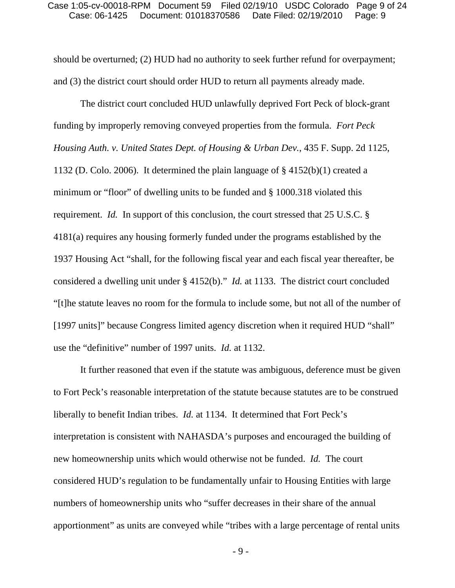should be overturned; (2) HUD had no authority to seek further refund for overpayment; and (3) the district court should order HUD to return all payments already made.

The district court concluded HUD unlawfully deprived Fort Peck of block-grant funding by improperly removing conveyed properties from the formula. *Fort Peck Housing Auth. v. United States Dept. of Housing & Urban Dev.*, 435 F. Supp. 2d 1125, 1132 (D. Colo. 2006). It determined the plain language of § 4152(b)(1) created a minimum or "floor" of dwelling units to be funded and § 1000.318 violated this requirement. *Id.* In support of this conclusion, the court stressed that 25 U.S.C. § 4181(a) requires any housing formerly funded under the programs established by the 1937 Housing Act "shall, for the following fiscal year and each fiscal year thereafter, be considered a dwelling unit under § 4152(b)." *Id.* at 1133. The district court concluded "[t]he statute leaves no room for the formula to include some, but not all of the number of [1997 units]" because Congress limited agency discretion when it required HUD "shall" use the "definitive" number of 1997 units. *Id.* at 1132.

It further reasoned that even if the statute was ambiguous, deference must be given to Fort Peck's reasonable interpretation of the statute because statutes are to be construed liberally to benefit Indian tribes. *Id.* at 1134. It determined that Fort Peck's interpretation is consistent with NAHASDA's purposes and encouraged the building of new homeownership units which would otherwise not be funded. *Id.* The court considered HUD's regulation to be fundamentally unfair to Housing Entities with large numbers of homeownership units who "suffer decreases in their share of the annual apportionment" as units are conveyed while "tribes with a large percentage of rental units

- 9 -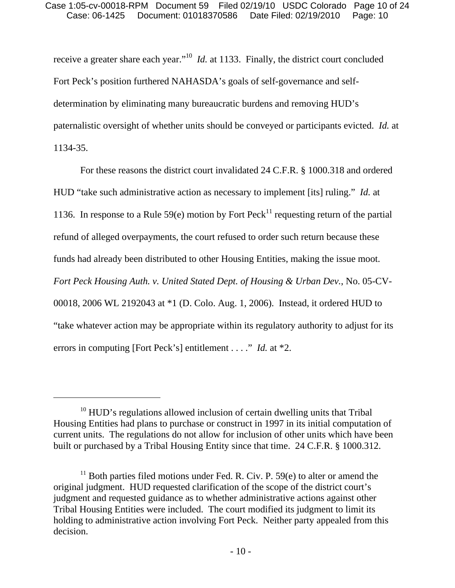receive a greater share each year."10 *Id.* at 1133. Finally, the district court concluded Fort Peck's position furthered NAHASDA's goals of self-governance and selfdetermination by eliminating many bureaucratic burdens and removing HUD's paternalistic oversight of whether units should be conveyed or participants evicted. *Id.* at 1134-35.

For these reasons the district court invalidated 24 C.F.R. § 1000.318 and ordered HUD "take such administrative action as necessary to implement [its] ruling." *Id.* at 1136. In response to a Rule 59(e) motion by Fort Peck<sup>11</sup> requesting return of the partial refund of alleged overpayments, the court refused to order such return because these funds had already been distributed to other Housing Entities, making the issue moot. *Fort Peck Housing Auth. v. United Stated Dept. of Housing & Urban Dev.*, No. 05-CV-00018, 2006 WL 2192043 at \*1 (D. Colo. Aug. 1, 2006). Instead, it ordered HUD to "take whatever action may be appropriate within its regulatory authority to adjust for its errors in computing [Fort Peck's] entitlement . . . ." *Id.* at \*2.

 $\overline{a}$ 

 $10$  HUD's regulations allowed inclusion of certain dwelling units that Tribal Housing Entities had plans to purchase or construct in 1997 in its initial computation of current units. The regulations do not allow for inclusion of other units which have been built or purchased by a Tribal Housing Entity since that time. 24 C.F.R. § 1000.312.

<sup>&</sup>lt;sup>11</sup> Both parties filed motions under Fed. R. Civ. P. 59 $(e)$  to alter or amend the original judgment. HUD requested clarification of the scope of the district court's judgment and requested guidance as to whether administrative actions against other Tribal Housing Entities were included. The court modified its judgment to limit its holding to administrative action involving Fort Peck. Neither party appealed from this decision.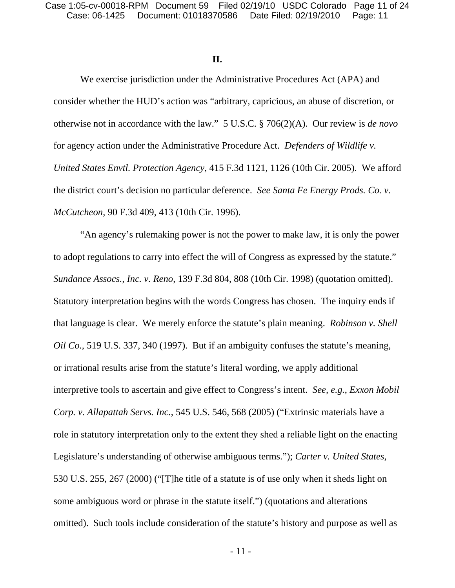### **II.**

We exercise jurisdiction under the Administrative Procedures Act (APA) and consider whether the HUD's action was "arbitrary, capricious, an abuse of discretion, or otherwise not in accordance with the law." 5 U.S.C. § 706(2)(A). Our review is *de novo* for agency action under the Administrative Procedure Act. *Defenders of Wildlife v. United States Envtl. Protection Agency*, 415 F.3d 1121, 1126 (10th Cir. 2005). We afford the district court's decision no particular deference. *See Santa Fe Energy Prods. Co. v. McCutcheon*, 90 F.3d 409, 413 (10th Cir. 1996).

"An agency's rulemaking power is not the power to make law, it is only the power to adopt regulations to carry into effect the will of Congress as expressed by the statute." *Sundance Assocs., Inc. v. Reno*, 139 F.3d 804, 808 (10th Cir. 1998) (quotation omitted). Statutory interpretation begins with the words Congress has chosen. The inquiry ends if that language is clear. We merely enforce the statute's plain meaning. *Robinson v. Shell Oil Co.*, 519 U.S. 337, 340 (1997). But if an ambiguity confuses the statute's meaning, or irrational results arise from the statute's literal wording, we apply additional interpretive tools to ascertain and give effect to Congress's intent. *See, e.g.*, *Exxon Mobil Corp. v. Allapattah Servs. Inc.*, 545 U.S. 546, 568 (2005) ("Extrinsic materials have a role in statutory interpretation only to the extent they shed a reliable light on the enacting Legislature's understanding of otherwise ambiguous terms."); *Carter v. United States*, 530 U.S. 255, 267 (2000) ("[T]he title of a statute is of use only when it sheds light on some ambiguous word or phrase in the statute itself.") (quotations and alterations omitted). Such tools include consideration of the statute's history and purpose as well as

- 11 -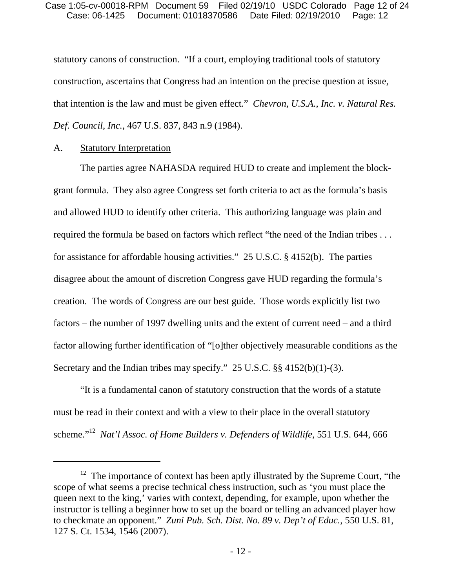statutory canons of construction. "If a court, employing traditional tools of statutory construction, ascertains that Congress had an intention on the precise question at issue, that intention is the law and must be given effect." *Chevron, U.S.A., Inc. v. Natural Res. Def. Council, Inc.*, 467 U.S. 837, 843 n.9 (1984).

### A. Statutory Interpretation

 $\overline{a}$ 

The parties agree NAHASDA required HUD to create and implement the blockgrant formula. They also agree Congress set forth criteria to act as the formula's basis and allowed HUD to identify other criteria. This authorizing language was plain and required the formula be based on factors which reflect "the need of the Indian tribes . . . for assistance for affordable housing activities." 25 U.S.C. § 4152(b). The parties disagree about the amount of discretion Congress gave HUD regarding the formula's creation. The words of Congress are our best guide. Those words explicitly list two factors – the number of 1997 dwelling units and the extent of current need – and a third factor allowing further identification of "[o]ther objectively measurable conditions as the Secretary and the Indian tribes may specify." 25 U.S.C. §§ 4152(b)(1)-(3).

"It is a fundamental canon of statutory construction that the words of a statute must be read in their context and with a view to their place in the overall statutory scheme."12 *Nat'l Assoc. of Home Builders v. Defenders of Wildlife*, 551 U.S. 644, 666

<sup>&</sup>lt;sup>12</sup> The importance of context has been aptly illustrated by the Supreme Court, "the scope of what seems a precise technical chess instruction, such as 'you must place the queen next to the king,' varies with context, depending, for example, upon whether the instructor is telling a beginner how to set up the board or telling an advanced player how to checkmate an opponent." *Zuni Pub. Sch. Dist. No. 89 v. Dep't of Educ.*, 550 U.S. 81, 127 S. Ct. 1534, 1546 (2007).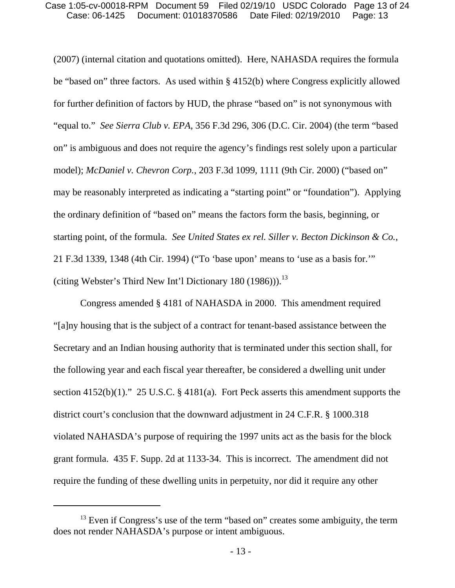(2007) (internal citation and quotations omitted). Here, NAHASDA requires the formula be "based on" three factors. As used within § 4152(b) where Congress explicitly allowed for further definition of factors by HUD, the phrase "based on" is not synonymous with "equal to." *See Sierra Club v. EPA*, 356 F.3d 296, 306 (D.C. Cir. 2004) (the term "based on" is ambiguous and does not require the agency's findings rest solely upon a particular model); *McDaniel v. Chevron Corp.*, 203 F.3d 1099, 1111 (9th Cir. 2000) ("based on" may be reasonably interpreted as indicating a "starting point" or "foundation"). Applying the ordinary definition of "based on" means the factors form the basis, beginning, or starting point, of the formula. *See United States ex rel. Siller v. Becton Dickinson & Co.*, 21 F.3d 1339, 1348 (4th Cir. 1994) ("To 'base upon' means to 'use as a basis for.'" (citing Webster's Third New Int'l Dictionary 180 (1986)).<sup>13</sup>

Congress amended § 4181 of NAHASDA in 2000. This amendment required "[a]ny housing that is the subject of a contract for tenant-based assistance between the Secretary and an Indian housing authority that is terminated under this section shall, for the following year and each fiscal year thereafter, be considered a dwelling unit under section 4152(b)(1)." 25 U.S.C. § 4181(a). Fort Peck asserts this amendment supports the district court's conclusion that the downward adjustment in 24 C.F.R. § 1000.318 violated NAHASDA's purpose of requiring the 1997 units act as the basis for the block grant formula. 435 F. Supp. 2d at 1133-34. This is incorrect. The amendment did not require the funding of these dwelling units in perpetuity, nor did it require any other

<sup>&</sup>lt;sup>13</sup> Even if Congress's use of the term "based on" creates some ambiguity, the term does not render NAHASDA's purpose or intent ambiguous.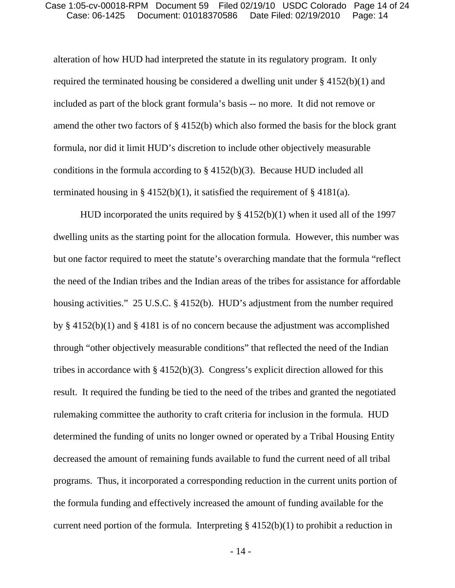#### Case: 06-1425 Document: 01018370586 Date Filed: 02/19/2010 Page: 14 Case 1:05-cv-00018-RPM Document 59 Filed 02/19/10 USDC Colorado Page 14 of 24

alteration of how HUD had interpreted the statute in its regulatory program. It only required the terminated housing be considered a dwelling unit under § 4152(b)(1) and included as part of the block grant formula's basis -- no more. It did not remove or amend the other two factors of § 4152(b) which also formed the basis for the block grant formula, nor did it limit HUD's discretion to include other objectively measurable conditions in the formula according to  $\S$  4152(b)(3). Because HUD included all terminated housing in § 4152(b)(1), it satisfied the requirement of § 4181(a).

HUD incorporated the units required by § 4152(b)(1) when it used all of the 1997 dwelling units as the starting point for the allocation formula. However, this number was but one factor required to meet the statute's overarching mandate that the formula "reflect the need of the Indian tribes and the Indian areas of the tribes for assistance for affordable housing activities." 25 U.S.C. § 4152(b). HUD's adjustment from the number required by § 4152(b)(1) and § 4181 is of no concern because the adjustment was accomplished through "other objectively measurable conditions" that reflected the need of the Indian tribes in accordance with § 4152(b)(3). Congress's explicit direction allowed for this result. It required the funding be tied to the need of the tribes and granted the negotiated rulemaking committee the authority to craft criteria for inclusion in the formula. HUD determined the funding of units no longer owned or operated by a Tribal Housing Entity decreased the amount of remaining funds available to fund the current need of all tribal programs. Thus, it incorporated a corresponding reduction in the current units portion of the formula funding and effectively increased the amount of funding available for the current need portion of the formula. Interpreting  $\S$  4152(b)(1) to prohibit a reduction in

- 14 -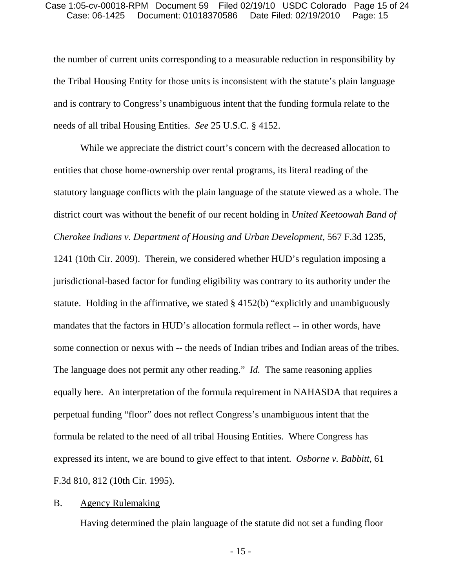the number of current units corresponding to a measurable reduction in responsibility by the Tribal Housing Entity for those units is inconsistent with the statute's plain language and is contrary to Congress's unambiguous intent that the funding formula relate to the needs of all tribal Housing Entities. *See* 25 U.S.C. § 4152.

While we appreciate the district court's concern with the decreased allocation to entities that chose home-ownership over rental programs, its literal reading of the statutory language conflicts with the plain language of the statute viewed as a whole. The district court was without the benefit of our recent holding in *United Keetoowah Band of Cherokee Indians v. Department of Housing and Urban Development*, 567 F.3d 1235, 1241 (10th Cir. 2009). Therein, we considered whether HUD's regulation imposing a jurisdictional-based factor for funding eligibility was contrary to its authority under the statute. Holding in the affirmative, we stated § 4152(b) "explicitly and unambiguously mandates that the factors in HUD's allocation formula reflect -- in other words, have some connection or nexus with -- the needs of Indian tribes and Indian areas of the tribes. The language does not permit any other reading." *Id.* The same reasoning applies equally here. An interpretation of the formula requirement in NAHASDA that requires a perpetual funding "floor" does not reflect Congress's unambiguous intent that the formula be related to the need of all tribal Housing Entities. Where Congress has expressed its intent, we are bound to give effect to that intent. *Osborne v. Babbitt*, 61 F.3d 810, 812 (10th Cir. 1995).

### B. Agency Rulemaking

Having determined the plain language of the statute did not set a funding floor

- 15 -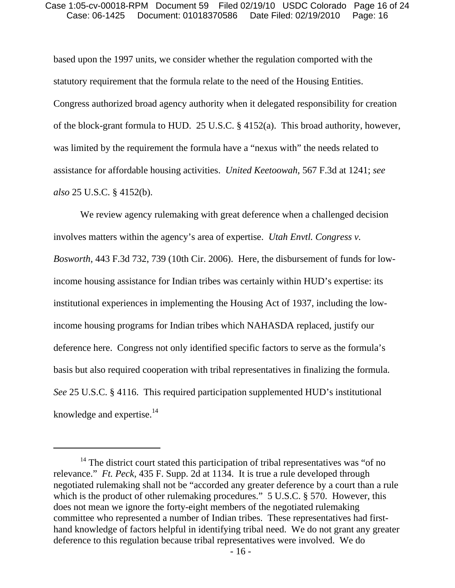#### Case: 06-1425 Document: 01018370586 Date Filed: 02/19/2010 Page: 16 Case 1:05-cv-00018-RPM Document 59 Filed 02/19/10 USDC Colorado Page 16 of 24

based upon the 1997 units, we consider whether the regulation comported with the statutory requirement that the formula relate to the need of the Housing Entities. Congress authorized broad agency authority when it delegated responsibility for creation of the block-grant formula to HUD. 25 U.S.C. § 4152(a). This broad authority, however, was limited by the requirement the formula have a "nexus with" the needs related to assistance for affordable housing activities. *United Keetoowah*, 567 F.3d at 1241; *see also* 25 U.S.C. § 4152(b).

We review agency rulemaking with great deference when a challenged decision involves matters within the agency's area of expertise. *Utah Envtl. Congress v. Bosworth*, 443 F.3d 732, 739 (10th Cir. 2006). Here, the disbursement of funds for lowincome housing assistance for Indian tribes was certainly within HUD's expertise: its institutional experiences in implementing the Housing Act of 1937, including the lowincome housing programs for Indian tribes which NAHASDA replaced, justify our deference here. Congress not only identified specific factors to serve as the formula's basis but also required cooperation with tribal representatives in finalizing the formula. *See* 25 U.S.C. § 4116. This required participation supplemented HUD's institutional knowledge and expertise. $14$ 

<sup>&</sup>lt;sup>14</sup> The district court stated this participation of tribal representatives was "of no relevance." *Ft. Peck*, 435 F. Supp. 2d at 1134. It is true a rule developed through negotiated rulemaking shall not be "accorded any greater deference by a court than a rule which is the product of other rulemaking procedures." 5 U.S.C. § 570. However, this does not mean we ignore the forty-eight members of the negotiated rulemaking committee who represented a number of Indian tribes. These representatives had firsthand knowledge of factors helpful in identifying tribal need. We do not grant any greater deference to this regulation because tribal representatives were involved. We do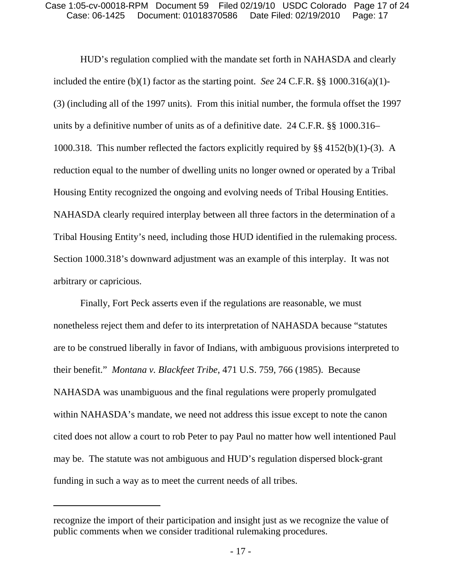HUD's regulation complied with the mandate set forth in NAHASDA and clearly included the entire (b)(1) factor as the starting point. *See* 24 C.F.R. §§ 1000.316(a)(1)- (3) (including all of the 1997 units). From this initial number, the formula offset the 1997 units by a definitive number of units as of a definitive date. 24 C.F.R. §§ 1000.316– 1000.318. This number reflected the factors explicitly required by §§ 4152(b)(1)-(3). A reduction equal to the number of dwelling units no longer owned or operated by a Tribal Housing Entity recognized the ongoing and evolving needs of Tribal Housing Entities. NAHASDA clearly required interplay between all three factors in the determination of a Tribal Housing Entity's need, including those HUD identified in the rulemaking process. Section 1000.318's downward adjustment was an example of this interplay. It was not arbitrary or capricious.

Finally, Fort Peck asserts even if the regulations are reasonable, we must nonetheless reject them and defer to its interpretation of NAHASDA because "statutes are to be construed liberally in favor of Indians, with ambiguous provisions interpreted to their benefit." *Montana v. Blackfeet Tribe*, 471 U.S. 759, 766 (1985). Because NAHASDA was unambiguous and the final regulations were properly promulgated within NAHASDA's mandate, we need not address this issue except to note the canon cited does not allow a court to rob Peter to pay Paul no matter how well intentioned Paul may be. The statute was not ambiguous and HUD's regulation dispersed block-grant funding in such a way as to meet the current needs of all tribes.

recognize the import of their participation and insight just as we recognize the value of public comments when we consider traditional rulemaking procedures.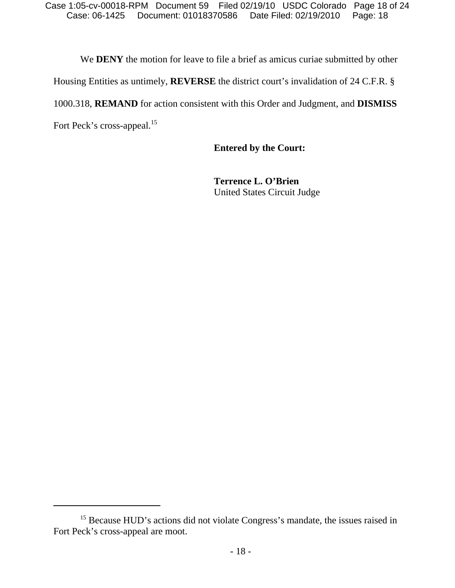We **DENY** the motion for leave to file a brief as amicus curiae submitted by other

Housing Entities as untimely, **REVERSE** the district court's invalidation of 24 C.F.R. §

1000.318, **REMAND** for action consistent with this Order and Judgment, and **DISMISS**

Fort Peck's cross-appeal.<sup>15</sup>

**Entered by the Court:** 

**Terrence L. O'Brien**  United States Circuit Judge

<sup>&</sup>lt;sup>15</sup> Because HUD's actions did not violate Congress's mandate, the issues raised in Fort Peck's cross-appeal are moot.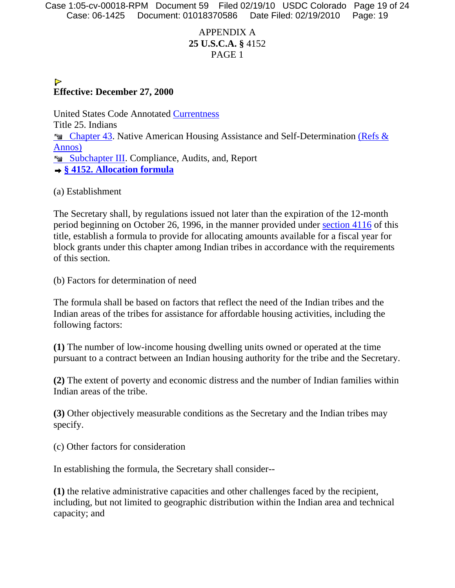Case: 06-1425 Document: 01018370586 Date Filed: 02/19/2010 Page: 19 Case 1:05-cv-00018-RPM Document 59 Filed 02/19/10 USDC Colorado Page 19 of 24

# APPENDIX A **25 U.S.C.A. §** 4152 PAGE 1

### $\triangleright$ **Effective: December 27, 2000**

United States Code Annotated Currentness Title 25. Indians **Example 23.** Native American Housing Assistance and Self-Determination (Refs & Annos) **§ 4152. Allocation formula**

(a) Establishment

The Secretary shall, by regulations issued not later than the expiration of the 12-month period beginning on October 26, 1996, in the manner provided under section 4116 of this title, establish a formula to provide for allocating amounts available for a fiscal year for block grants under this chapter among Indian tribes in accordance with the requirements of this section.

(b) Factors for determination of need

The formula shall be based on factors that reflect the need of the Indian tribes and the Indian areas of the tribes for assistance for affordable housing activities, including the following factors:

**(1)** The number of low-income housing dwelling units owned or operated at the time pursuant to a contract between an Indian housing authority for the tribe and the Secretary.

**(2)** The extent of poverty and economic distress and the number of Indian families within Indian areas of the tribe.

**(3)** Other objectively measurable conditions as the Secretary and the Indian tribes may specify.

(c) Other factors for consideration

In establishing the formula, the Secretary shall consider--

**(1)** the relative administrative capacities and other challenges faced by the recipient, including, but not limited to geographic distribution within the Indian area and technical capacity; and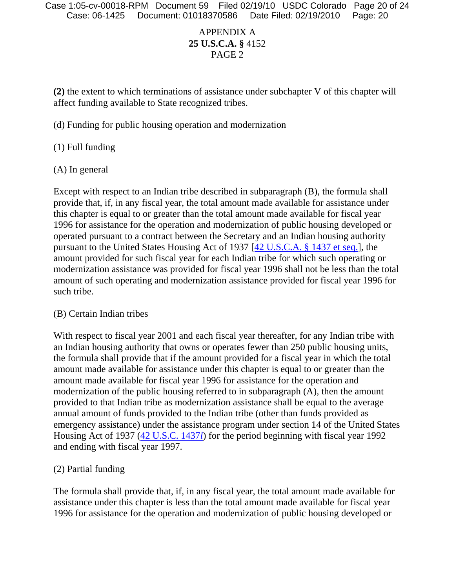# APPENDIX A **25 U.S.C.A. §** 4152 PAGE 2

**(2)** the extent to which terminations of assistance under subchapter V of this chapter will affect funding available to State recognized tribes.

(d) Funding for public housing operation and modernization

(1) Full funding

(A) In general

Except with respect to an Indian tribe described in subparagraph (B), the formula shall provide that, if, in any fiscal year, the total amount made available for assistance under this chapter is equal to or greater than the total amount made available for fiscal year 1996 for assistance for the operation and modernization of public housing developed or operated pursuant to a contract between the Secretary and an Indian housing authority pursuant to the United States Housing Act of 1937 [42 U.S.C.A. § 1437 et seq.], the amount provided for such fiscal year for each Indian tribe for which such operating or modernization assistance was provided for fiscal year 1996 shall not be less than the total amount of such operating and modernization assistance provided for fiscal year 1996 for such tribe.

## (B) Certain Indian tribes

With respect to fiscal year 2001 and each fiscal year thereafter, for any Indian tribe with an Indian housing authority that owns or operates fewer than 250 public housing units, the formula shall provide that if the amount provided for a fiscal year in which the total amount made available for assistance under this chapter is equal to or greater than the amount made available for fiscal year 1996 for assistance for the operation and modernization of the public housing referred to in subparagraph (A), then the amount provided to that Indian tribe as modernization assistance shall be equal to the average annual amount of funds provided to the Indian tribe (other than funds provided as emergency assistance) under the assistance program under section 14 of the United States Housing Act of 1937 (42 U.S.C. 1437*l*) for the period beginning with fiscal year 1992 and ending with fiscal year 1997.

## (2) Partial funding

The formula shall provide that, if, in any fiscal year, the total amount made available for assistance under this chapter is less than the total amount made available for fiscal year 1996 for assistance for the operation and modernization of public housing developed or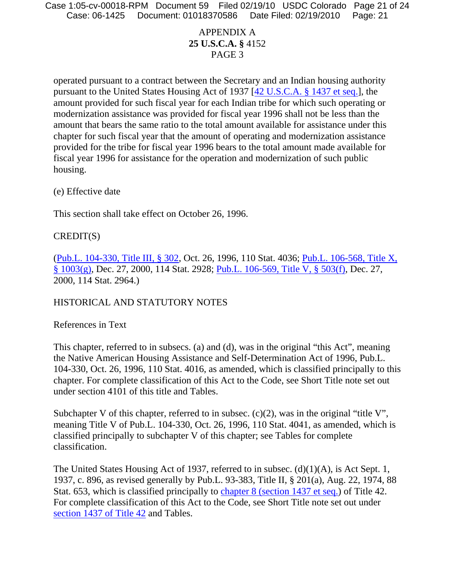Case: 06-1425 Document: 01018370586 Date Filed: 02/19/2010 Page: 21 Case 1:05-cv-00018-RPM Document 59 Filed 02/19/10 USDC Colorado Page 21 of 24

# APPENDIX A **25 U.S.C.A. §** 4152 PAGE 3

operated pursuant to a contract between the Secretary and an Indian housing authority pursuant to the United States Housing Act of 1937 [42 U.S.C.A. § 1437 et seq.], the amount provided for such fiscal year for each Indian tribe for which such operating or modernization assistance was provided for fiscal year 1996 shall not be less than the amount that bears the same ratio to the total amount available for assistance under this chapter for such fiscal year that the amount of operating and modernization assistance provided for the tribe for fiscal year 1996 bears to the total amount made available for fiscal year 1996 for assistance for the operation and modernization of such public housing.

(e) Effective date

This section shall take effect on October 26, 1996.

## CREDIT(S)

(Pub.L. 104-330, Title III, § 302, Oct. 26, 1996, 110 Stat. 4036; Pub.L. 106-568, Title X, § 1003(g), Dec. 27, 2000, 114 Stat. 2928; Pub.L. 106-569, Title V, § 503(f), Dec. 27, 2000, 114 Stat. 2964.)

## HISTORICAL AND STATUTORY NOTES

References in Text

This chapter, referred to in subsecs. (a) and (d), was in the original "this Act", meaning the Native American Housing Assistance and Self-Determination Act of 1996, Pub.L. 104-330, Oct. 26, 1996, 110 Stat. 4016, as amended, which is classified principally to this chapter. For complete classification of this Act to the Code, see Short Title note set out under section 4101 of this title and Tables.

Subchapter V of this chapter, referred to in subsec.  $(c)(2)$ , was in the original "title V", meaning Title V of Pub.L. 104-330, Oct. 26, 1996, 110 Stat. 4041, as amended, which is classified principally to subchapter V of this chapter; see Tables for complete classification.

The United States Housing Act of 1937, referred to in subsec. (d)(1)(A), is Act Sept. 1, 1937, c. 896, as revised generally by Pub.L. 93-383, Title II, § 201(a), Aug. 22, 1974, 88 Stat. 653, which is classified principally to chapter 8 (section 1437 et seq.) of Title 42. For complete classification of this Act to the Code, see Short Title note set out under section 1437 of Title 42 and Tables.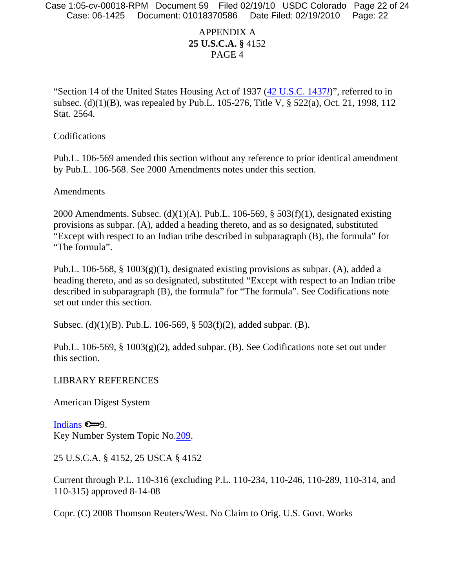## APPENDIX A **25 U.S.C.A. §** 4152 PAGE 4

"Section 14 of the United States Housing Act of 1937 (42 U.S.C. 1437*l*)", referred to in subsec. (d)(1)(B), was repealed by Pub.L. 105-276, Title V, § 522(a), Oct. 21, 1998, 112 Stat. 2564.

Codifications

Pub.L. 106-569 amended this section without any reference to prior identical amendment by Pub.L. 106-568. See 2000 Amendments notes under this section.

Amendments

2000 Amendments. Subsec. (d)(1)(A). Pub.L. 106-569,  $\S$  503(f)(1), designated existing provisions as subpar. (A), added a heading thereto, and as so designated, substituted "Except with respect to an Indian tribe described in subparagraph (B), the formula" for "The formula".

Pub.L. 106-568, § 1003(g)(1), designated existing provisions as subpar. (A), added a heading thereto, and as so designated, substituted "Except with respect to an Indian tribe described in subparagraph (B), the formula" for "The formula". See Codifications note set out under this section.

Subsec. (d)(1)(B). Pub.L. 106-569, § 503(f)(2), added subpar. (B).

Pub.L. 106-569, § 1003(g)(2), added subpar. (B). See Codifications note set out under this section.

### LIBRARY REFERENCES

American Digest System

Indians  $\epsilon = 9$ . Key Number System Topic No.209.

25 U.S.C.A. § 4152, 25 USCA § 4152

Current through P.L. 110-316 (excluding P.L. 110-234, 110-246, 110-289, 110-314, and 110-315) approved 8-14-08

Copr. (C) 2008 Thomson Reuters/West. No Claim to Orig. U.S. Govt. Works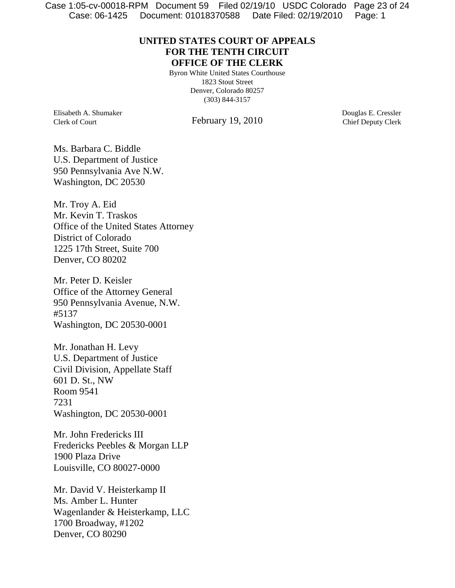Case: 06-1425 Document: 01018370588 Date Filed: 02/19/2010 Page: 1 Case 1:05-cv-00018-RPM Document 59 Filed 02/19/10 USDC Colorado Page 23 of 24

## **UNITED STATES COURT OF APPEALS FOR THE TENTH CIRCUIT OFFICE OF THE CLERK**

Byron White United States Courthouse 1823 Stout Street Denver, Colorado 80257 (303) 844-3157

Elisabeth A. Shumaker Clerk of Court

February 19, 2010

Douglas E. Cressler Chief Deputy Clerk

Ms. Barbara C. Biddle U.S. Department of Justice 950 Pennsylvania Ave N.W. Washington, DC 20530

Mr. Troy A. Eid Mr. Kevin T. Traskos Office of the United States Attorney District of Colorado 1225 17th Street, Suite 700 Denver, CO 80202

Mr. Peter D. Keisler Office of the Attorney General 950 Pennsylvania Avenue, N.W. #5137 Washington, DC 20530-0001

Mr. Jonathan H. Levy U.S. Department of Justice Civil Division, Appellate Staff 601 D. St., NW Room 9541 7231 Washington, DC 20530-0001

Mr. John Fredericks III Fredericks Peebles & Morgan LLP 1900 Plaza Drive Louisville, CO 80027-0000

Mr. David V. Heisterkamp II Ms. Amber L. Hunter Wagenlander & Heisterkamp, LLC 1700 Broadway, #1202 Denver, CO 80290